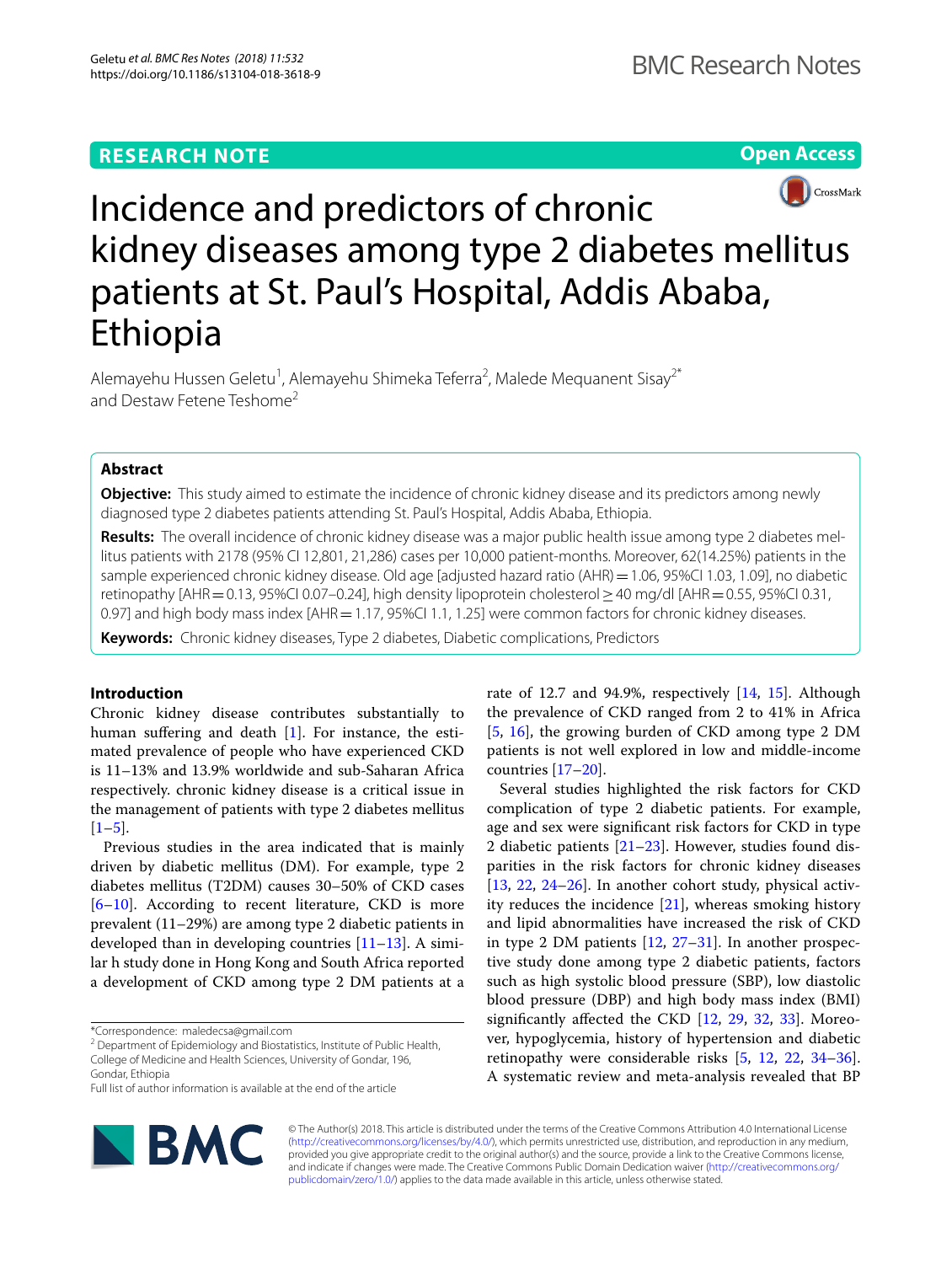# **RESEARCH NOTE**

**Open Access**



# Incidence and predictors of chronic kidney diseases among type 2 diabetes mellitus patients at St. Paul's Hospital, Addis Ababa, Ethiopia

Alemayehu Hussen Geletu<sup>1</sup>, Alemayehu Shimeka Teferra<sup>2</sup>, Malede Mequanent Sisay<sup>2\*</sup> and Destaw Fetene Teshome<sup>2</sup>

# **Abstract**

**Objective:** This study aimed to estimate the incidence of chronic kidney disease and its predictors among newly diagnosed type 2 diabetes patients attending St. Paul's Hospital, Addis Ababa, Ethiopia.

**Results:** The overall incidence of chronic kidney disease was a major public health issue among type 2 diabetes mellitus patients with 2178 (95% CI 12,801, 21,286) cases per 10,000 patient-months. Moreover, 62(14.25%) patients in the sample experienced chronic kidney disease. Old age [adjusted hazard ratio (AHR) = 1.06, 95%CI 1.03, 1.09], no diabetic retinopathy [AHR=0.13, 95%CI 0.07–0.24], high density lipoprotein cholesterol≥40 mg/dl [AHR=0.55, 95%CI 0.31, 0.97] and high body mass index [AHR = 1.17, 95%CI 1.1, 1.25] were common factors for chronic kidney diseases.

**Keywords:** Chronic kidney diseases, Type 2 diabetes, Diabetic complications, Predictors

# **Introduction**

Chronic kidney disease contributes substantially to human sufering and death [[1\]](#page-4-0). For instance, the estimated prevalence of people who have experienced CKD is 11–13% and 13.9% worldwide and sub-Saharan Africa respectively. chronic kidney disease is a critical issue in the management of patients with type 2 diabetes mellitus  $[1-5]$  $[1-5]$ .

Previous studies in the area indicated that is mainly driven by diabetic mellitus (DM). For example, type 2 diabetes mellitus (T2DM) causes 30–50% of CKD cases [[6–](#page-4-2)[10\]](#page-4-3). According to recent literature, CKD is more prevalent (11–29%) are among type 2 diabetic patients in developed than in developing countries  $[11-13]$  $[11-13]$  $[11-13]$ . A similar h study done in Hong Kong and South Africa reported a development of CKD among type 2 DM patients at a

<sup>2</sup> Department of Epidemiology and Biostatistics, Institute of Public Health, College of Medicine and Health Sciences, University of Gondar, 196, Gondar, Ethiopia

Full list of author information is available at the end of the article



rate of 12.7 and 94.9%, respectively [[14,](#page-4-6) [15](#page-4-7)]. Although the prevalence of CKD ranged from 2 to 41% in Africa [[5,](#page-4-1) [16\]](#page-4-8), the growing burden of CKD among type 2 DM patients is not well explored in low and middle-income countries [\[17](#page-4-9)[–20](#page-4-10)].

Several studies highlighted the risk factors for CKD complication of type 2 diabetic patients. For example, age and sex were signifcant risk factors for CKD in type 2 diabetic patients  $[21-23]$  $[21-23]$  $[21-23]$ . However, studies found disparities in the risk factors for chronic kidney diseases [[13,](#page-4-5) [22](#page-4-13), [24–](#page-4-14)[26\]](#page-4-15). In another cohort study, physical activity reduces the incidence  $[21]$  $[21]$ , whereas smoking history and lipid abnormalities have increased the risk of CKD in type 2 DM patients [\[12,](#page-4-16) [27](#page-4-17)[–31](#page-4-18)]. In another prospective study done among type 2 diabetic patients, factors such as high systolic blood pressure (SBP), low diastolic blood pressure (DBP) and high body mass index (BMI) signifcantly afected the CKD [[12](#page-4-16), [29,](#page-4-19) [32,](#page-4-20) [33\]](#page-4-21). Moreover, hypoglycemia, history of hypertension and diabetic retinopathy were considerable risks [\[5,](#page-4-1) [12](#page-4-16), [22,](#page-4-13) [34](#page-4-22)[–36](#page-4-23)]. A systematic review and meta-analysis revealed that BP

© The Author(s) 2018. This article is distributed under the terms of the Creative Commons Attribution 4.0 International License [\(http://creativecommons.org/licenses/by/4.0/\)](http://creativecommons.org/licenses/by/4.0/), which permits unrestricted use, distribution, and reproduction in any medium, provided you give appropriate credit to the original author(s) and the source, provide a link to the Creative Commons license, and indicate if changes were made. The Creative Commons Public Domain Dedication waiver ([http://creativecommons.org/](http://creativecommons.org/publicdomain/zero/1.0/) [publicdomain/zero/1.0/](http://creativecommons.org/publicdomain/zero/1.0/)) applies to the data made available in this article, unless otherwise stated.

<sup>\*</sup>Correspondence: maledecsa@gmail.com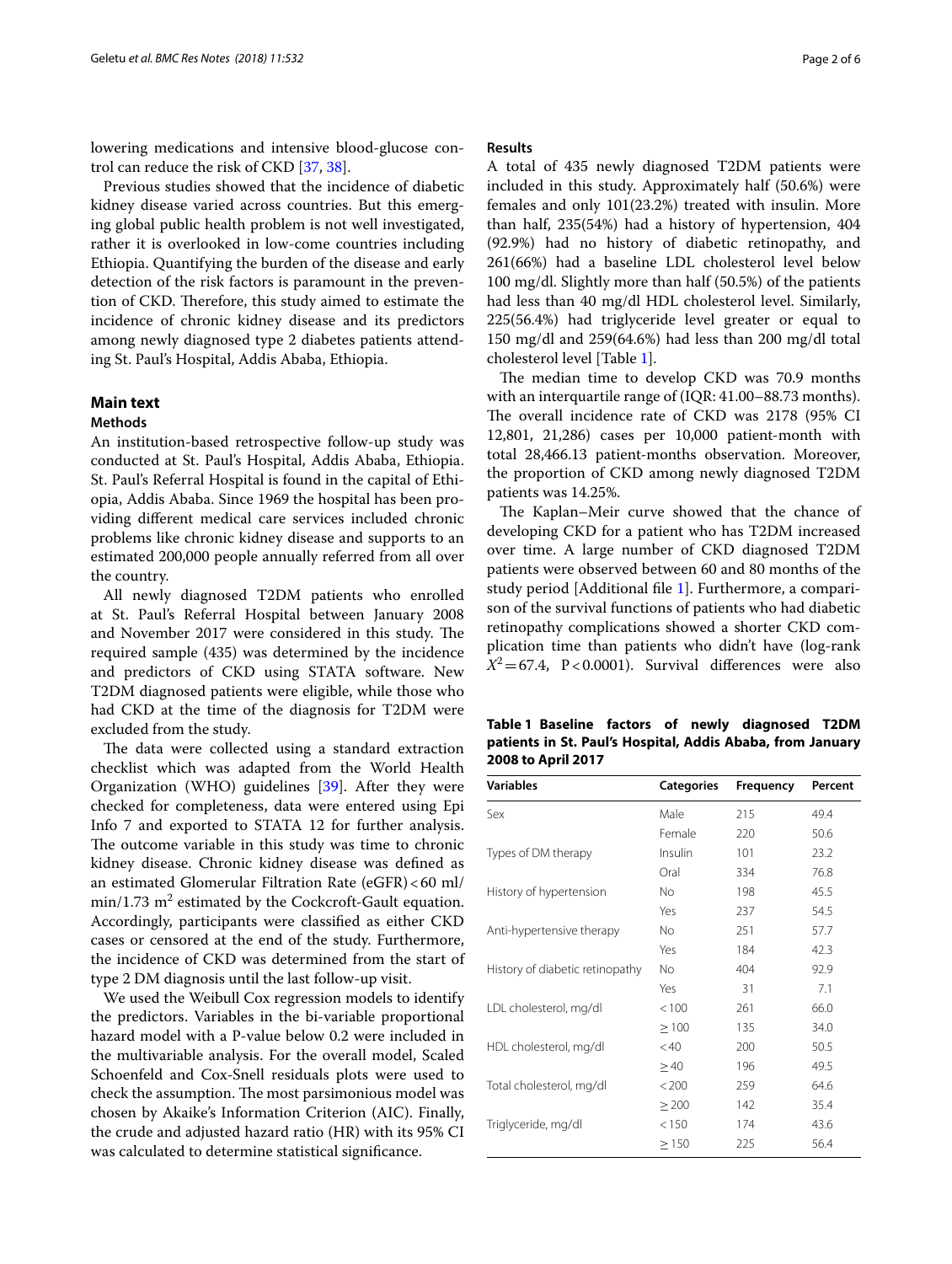lowering medications and intensive blood-glucose control can reduce the risk of CKD [[37,](#page-4-24) [38](#page-5-0)].

Previous studies showed that the incidence of diabetic kidney disease varied across countries. But this emerging global public health problem is not well investigated, rather it is overlooked in low-come countries including Ethiopia. Quantifying the burden of the disease and early detection of the risk factors is paramount in the prevention of CKD. Therefore, this study aimed to estimate the incidence of chronic kidney disease and its predictors among newly diagnosed type 2 diabetes patients attending St. Paul's Hospital, Addis Ababa, Ethiopia.

# **Main text**

#### **Methods**

An institution-based retrospective follow-up study was conducted at St. Paul's Hospital, Addis Ababa, Ethiopia. St. Paul's Referral Hospital is found in the capital of Ethiopia, Addis Ababa. Since 1969 the hospital has been providing diferent medical care services included chronic problems like chronic kidney disease and supports to an estimated 200,000 people annually referred from all over the country.

All newly diagnosed T2DM patients who enrolled at St. Paul's Referral Hospital between January 2008 and November 2017 were considered in this study. The required sample (435) was determined by the incidence and predictors of CKD using STATA software. New T2DM diagnosed patients were eligible, while those who had CKD at the time of the diagnosis for T2DM were excluded from the study.

The data were collected using a standard extraction checklist which was adapted from the World Health Organization (WHO) guidelines [\[39\]](#page-5-1). After they were checked for completeness, data were entered using Epi Info 7 and exported to STATA 12 for further analysis. The outcome variable in this study was time to chronic kidney disease. Chronic kidney disease was defned as an estimated Glomerular Filtration Rate (eGFR)<60 ml/  $min/1.73$   $m^2$  estimated by the Cockcroft-Gault equation. Accordingly, participants were classifed as either CKD cases or censored at the end of the study. Furthermore, the incidence of CKD was determined from the start of type 2 DM diagnosis until the last follow-up visit.

We used the Weibull Cox regression models to identify the predictors. Variables in the bi-variable proportional hazard model with a P-value below 0.2 were included in the multivariable analysis. For the overall model, Scaled Schoenfeld and Cox-Snell residuals plots were used to check the assumption. The most parsimonious model was chosen by Akaike's Information Criterion (AIC). Finally, the crude and adjusted hazard ratio (HR) with its 95% CI was calculated to determine statistical signifcance.

#### **Results**

A total of 435 newly diagnosed T2DM patients were included in this study. Approximately half (50.6%) were females and only 101(23.2%) treated with insulin. More than half, 235(54%) had a history of hypertension, 404 (92.9%) had no history of diabetic retinopathy, and 261(66%) had a baseline LDL cholesterol level below 100 mg/dl. Slightly more than half (50.5%) of the patients had less than 40 mg/dl HDL cholesterol level. Similarly, 225(56.4%) had triglyceride level greater or equal to 150 mg/dl and 259(64.6%) had less than 200 mg/dl total cholesterol level [Table [1\]](#page-1-0).

The median time to develop CKD was 70.9 months with an interquartile range of (IQR: 41.00–88.73 months). The overall incidence rate of CKD was 2178 (95% CI 12,801, 21,286) cases per 10,000 patient-month with total 28,466.13 patient-months observation. Moreover, the proportion of CKD among newly diagnosed T2DM patients was 14.25%.

The Kaplan–Meir curve showed that the chance of developing CKD for a patient who has T2DM increased over time. A large number of CKD diagnosed T2DM patients were observed between 60 and 80 months of the study period [Additional fle [1](#page-3-0)]. Furthermore, a comparison of the survival functions of patients who had diabetic retinopathy complications showed a shorter CKD complication time than patients who didn't have (log-rank  $X^2 = 67.4$ , P<0.0001). Survival differences were also

<span id="page-1-0"></span>

| Table 1 Baseline factors of newly diagnosed T2DM           |  |  |  |
|------------------------------------------------------------|--|--|--|
| patients in St. Paul's Hospital, Addis Ababa, from January |  |  |  |
| 2008 to April 2017                                         |  |  |  |

| <b>Variables</b>                | <b>Categories</b> | Frequency | Percent |
|---------------------------------|-------------------|-----------|---------|
| Sex                             | Male              | 215       | 49.4    |
|                                 | Female            | 220       | 50.6    |
| Types of DM therapy             | Insulin           | 101       | 23.2    |
|                                 | Oral              | 334       | 76.8    |
| History of hypertension         | No                | 198       | 45.5    |
|                                 | Yes               | 237       | 54.5    |
| Anti-hypertensive therapy       | <b>No</b>         | 251       | 57.7    |
|                                 | Yes               | 184       | 42.3    |
| History of diabetic retinopathy | <b>No</b>         | 404       | 92.9    |
|                                 | Yes               | 31        | 7.1     |
| LDL cholesterol, mg/dl          | < 100             | 261       | 66.0    |
|                                 | $\geq 100$        | 135       | 34.0    |
| HDL cholesterol, mg/dl          | < 40              | 200       | 50.5    |
|                                 | >40               | 196       | 49.5    |
| Total cholesterol, mg/dl        | < 200             | 259       | 64.6    |
|                                 | $\geq$ 200        | 142       | 35.4    |
| Triglyceride, mg/dl             | < 150             | 174       | 43.6    |
|                                 | $\geq$ 150        | 225       | 56.4    |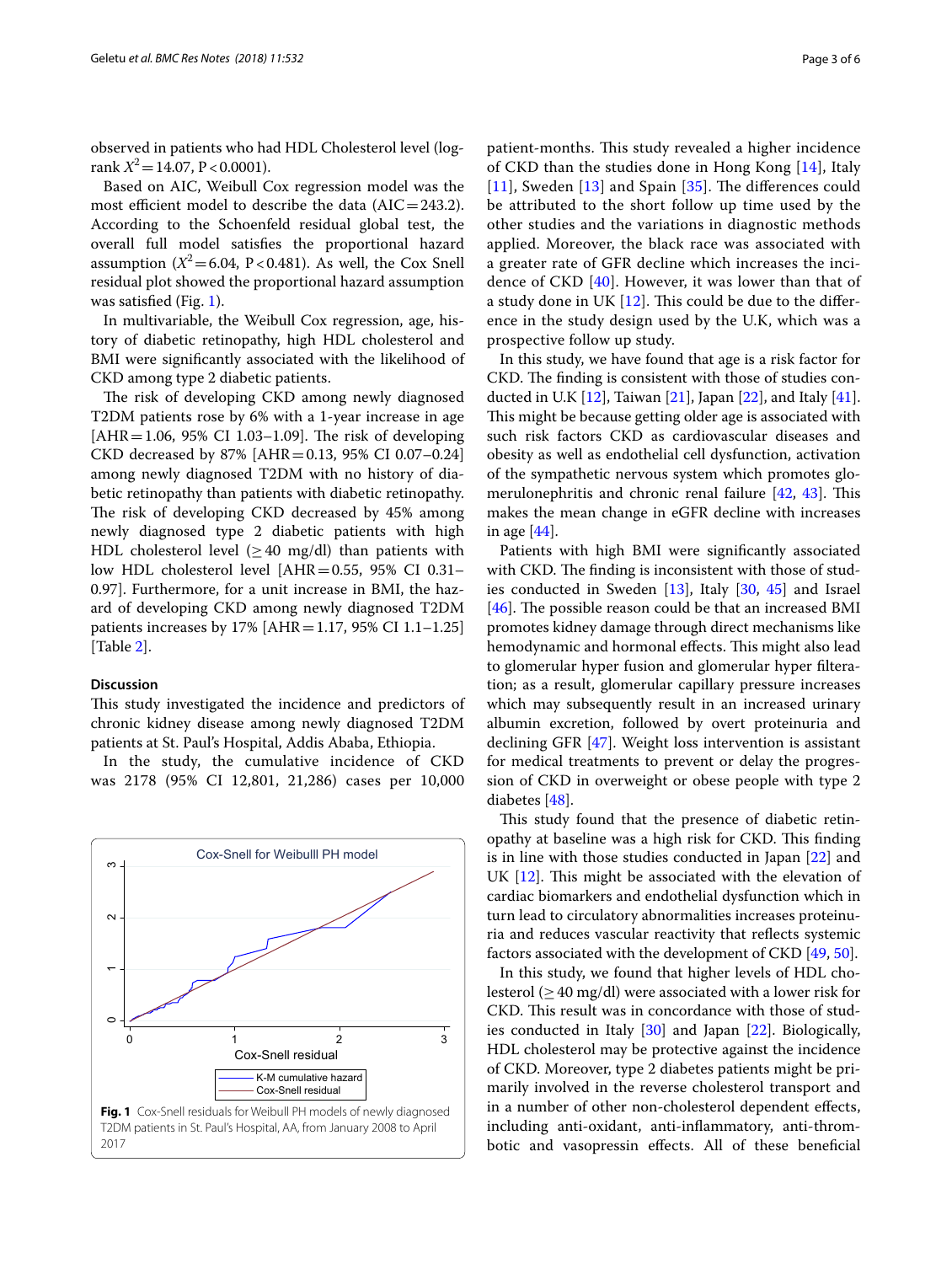observed in patients who had HDL Cholesterol level (logrank  $X^2$  = 14.07, P < 0.0001).

Based on AIC, Weibull Cox regression model was the most efficient model to describe the data  $(AIC=243.2)$ . According to the Schoenfeld residual global test, the overall full model satisfes the proportional hazard assumption  $(X^2 = 6.04, P < 0.481)$ . As well, the Cox Snell residual plot showed the proportional hazard assumption was satisfied (Fig. [1](#page-2-0)).

In multivariable, the Weibull Cox regression, age, history of diabetic retinopathy, high HDL cholesterol and BMI were signifcantly associated with the likelihood of CKD among type 2 diabetic patients.

The risk of developing CKD among newly diagnosed T2DM patients rose by 6% with a 1-year increase in age  $[AHR=1.06, 95% CI 1.03-1.09]$ . The risk of developing CKD decreased by 87% [AHR = 0.13, 95% CI 0.07-0.24] among newly diagnosed T2DM with no history of diabetic retinopathy than patients with diabetic retinopathy. The risk of developing CKD decreased by 45% among newly diagnosed type 2 diabetic patients with high HDL cholesterol level  $(>40 \text{ mg/dl})$  than patients with low HDL cholesterol level [AHR=0.55, 95% CI 0.31– 0.97]. Furthermore, for a unit increase in BMI, the hazard of developing CKD among newly diagnosed T2DM patients increases by  $17\%$  [AHR = 1.17, 95% CI 1.1–1.25] [Table [2](#page-3-1)].

#### **Discussion**

This study investigated the incidence and predictors of chronic kidney disease among newly diagnosed T2DM patients at St. Paul's Hospital, Addis Ababa, Ethiopia.

In the study, the cumulative incidence of CKD was 2178 (95% CI 12,801, 21,286) cases per 10,000

<span id="page-2-0"></span>

patient-months. This study revealed a higher incidence of CKD than the studies done in Hong Kong [\[14](#page-4-6)], Italy  $[11]$  $[11]$  $[11]$ , Sweden  $[13]$  $[13]$  and Spain  $[35]$  $[35]$ . The differences could be attributed to the short follow up time used by the other studies and the variations in diagnostic methods applied. Moreover, the black race was associated with a greater rate of GFR decline which increases the incidence of CKD [[40\]](#page-5-2). However, it was lower than that of a study done in UK  $[12]$  $[12]$  $[12]$ . This could be due to the difference in the study design used by the U.K, which was a prospective follow up study.

In this study, we have found that age is a risk factor for CKD. The finding is consistent with those of studies conducted in U.K  $[12]$  $[12]$  $[12]$ , Taiwan  $[21]$  $[21]$ , Japan  $[22]$  $[22]$ , and Italy  $[41]$  $[41]$ . This might be because getting older age is associated with such risk factors CKD as cardiovascular diseases and obesity as well as endothelial cell dysfunction, activation of the sympathetic nervous system which promotes glomerulonephritis and chronic renal failure  $[42, 43]$  $[42, 43]$  $[42, 43]$ . This makes the mean change in eGFR decline with increases in age [\[44](#page-5-6)].

Patients with high BMI were signifcantly associated with CKD. The finding is inconsistent with those of studies conducted in Sweden [[13](#page-4-5)], Italy [\[30](#page-4-26), [45\]](#page-5-7) and Israel [ $46$ ]. The possible reason could be that an increased BMI promotes kidney damage through direct mechanisms like hemodynamic and hormonal effects. This might also lead to glomerular hyper fusion and glomerular hyper flteration; as a result, glomerular capillary pressure increases which may subsequently result in an increased urinary albumin excretion, followed by overt proteinuria and declining GFR [\[47](#page-5-9)]. Weight loss intervention is assistant for medical treatments to prevent or delay the progression of CKD in overweight or obese people with type 2 diabetes [[48\]](#page-5-10).

This study found that the presence of diabetic retinopathy at baseline was a high risk for CKD. This finding is in line with those studies conducted in Japan [\[22](#page-4-13)] and UK  $[12]$  $[12]$ . This might be associated with the elevation of cardiac biomarkers and endothelial dysfunction which in turn lead to circulatory abnormalities increases proteinuria and reduces vascular reactivity that refects systemic factors associated with the development of CKD [\[49](#page-5-11), [50\]](#page-5-12).

In this study, we found that higher levels of HDL cholesterol ( $\geq$  40 mg/dl) were associated with a lower risk for CKD. This result was in concordance with those of studies conducted in Italy [\[30\]](#page-4-26) and Japan [\[22\]](#page-4-13). Biologically, HDL cholesterol may be protective against the incidence of CKD. Moreover, type 2 diabetes patients might be primarily involved in the reverse cholesterol transport and in a number of other non-cholesterol dependent efects, including anti-oxidant, anti-infammatory, anti-thrombotic and vasopressin efects. All of these benefcial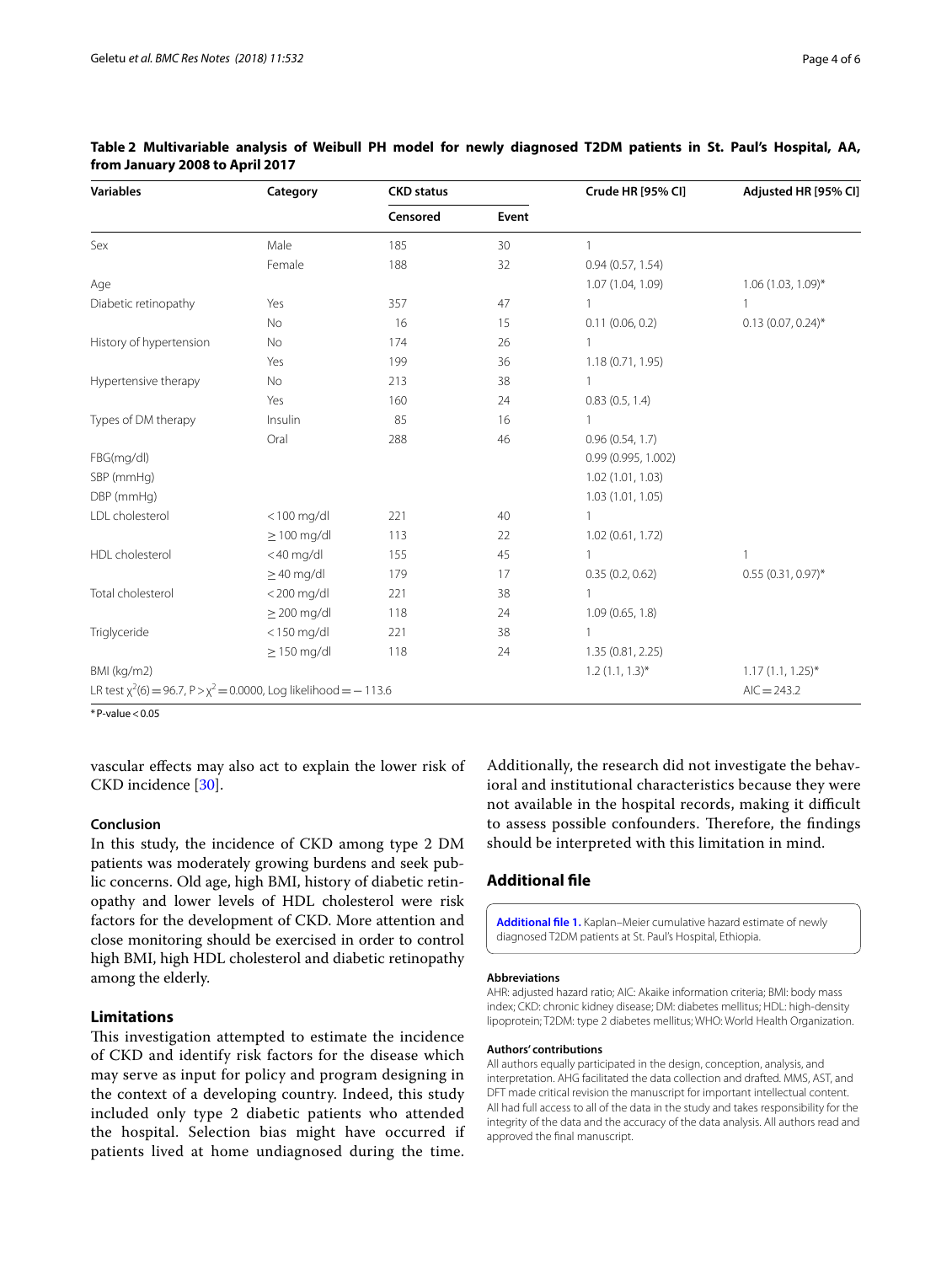| <b>Variables</b>                                                             | Category         | <b>CKD</b> status |       | Crude HR [95% CI]   | Adjusted HR [95% CI]  |  |
|------------------------------------------------------------------------------|------------------|-------------------|-------|---------------------|-----------------------|--|
|                                                                              |                  | Censored          | Event |                     |                       |  |
| Sex                                                                          | Male             | 185               | 30    |                     |                       |  |
|                                                                              | Female           | 188               | 32    | 0.94(0.57, 1.54)    |                       |  |
| Age                                                                          |                  |                   |       | 1.07 (1.04, 1.09)   | $1.06(1.03, 1.09)$ *  |  |
| Diabetic retinopathy                                                         | Yes              | 357               | 47    |                     |                       |  |
|                                                                              | No               | 16                | 15    | 0.11(0.06, 0.2)     | $0.13(0.07, 0.24)$ *  |  |
| History of hypertension                                                      | No               | 174               | 26    | 1                   |                       |  |
|                                                                              | Yes              | 199               | 36    | 1.18 (0.71, 1.95)   |                       |  |
| Hypertensive therapy                                                         | No               | 213               | 38    | 1                   |                       |  |
|                                                                              | Yes              | 160               | 24    | 0.83(0.5, 1.4)      |                       |  |
| Types of DM therapy                                                          | Insulin          | 85                | 16    |                     |                       |  |
|                                                                              | Oral             | 288               | 46    | 0.96(0.54, 1.7)     |                       |  |
| FBG(mg/dl)                                                                   |                  |                   |       | 0.99 (0.995, 1.002) |                       |  |
| SBP (mmHg)                                                                   |                  |                   |       | 1.02 (1.01, 1.03)   |                       |  |
| DBP (mmHg)                                                                   |                  |                   |       | 1.03(1.01, 1.05)    |                       |  |
| LDL cholesterol                                                              | $<$ 100 mg/dl    | 221               | 40    | $\mathbf{1}$        |                       |  |
|                                                                              | $\geq$ 100 mg/dl | 113               | 22    | 1.02 (0.61, 1.72)   |                       |  |
| HDL cholesterol                                                              | $<$ 40 mg/dl     | 155               | 45    | 1                   | 1                     |  |
|                                                                              | $\geq$ 40 mg/dl  | 179               | 17    | 0.35(0.2, 0.62)     | $0.55(0.31, 0.97)^*$  |  |
| Total cholesterol                                                            | $<$ 200 mg/dl    | 221               | 38    | $\mathbf{1}$        |                       |  |
|                                                                              | $\geq$ 200 mg/dl | 118               | 24    | 1.09(0.65, 1.8)     |                       |  |
| Triglyceride                                                                 | $<$ 150 mg/dl    | 221               | 38    | 1                   |                       |  |
|                                                                              | $\geq$ 150 mg/dl | 118               | 24    | 1.35 (0.81, 2.25)   |                       |  |
| BMI (kg/m2)                                                                  |                  |                   |       | $1.2(1.1, 1.3)^*$   | $1.17(1.1, 1.25)^{*}$ |  |
| LR test $\chi^2(6) = 96.7$ , $P > \chi^2 = 0.0000$ , Log likelihood = -113.6 |                  |                   |       |                     | $AIC = 243.2$         |  |

# <span id="page-3-1"></span>**Table 2 Multivariable analysis of Weibull PH model for newly diagnosed T2DM patients in St. Paul's Hospital, AA, from January 2008 to April 2017**

 $*P-value<0.05$ 

vascular efects may also act to explain the lower risk of CKD incidence [[30](#page-4-26)].

### **Conclusion**

In this study, the incidence of CKD among type 2 DM patients was moderately growing burdens and seek public concerns. Old age, high BMI, history of diabetic retinopathy and lower levels of HDL cholesterol were risk factors for the development of CKD. More attention and close monitoring should be exercised in order to control high BMI, high HDL cholesterol and diabetic retinopathy among the elderly.

# **Limitations**

This investigation attempted to estimate the incidence of CKD and identify risk factors for the disease which may serve as input for policy and program designing in the context of a developing country. Indeed, this study included only type 2 diabetic patients who attended the hospital. Selection bias might have occurred if patients lived at home undiagnosed during the time.

Additionally, the research did not investigate the behavioral and institutional characteristics because they were not available in the hospital records, making it difficult to assess possible confounders. Therefore, the findings should be interpreted with this limitation in mind.

# **Additional fle**

<span id="page-3-0"></span>**[Additional fle 1.](https://doi.org/10.1186/s13104-018-3618-9)** Kaplan–Meier cumulative hazard estimate of newly diagnosed T2DM patients at St. Paul's Hospital, Ethiopia.

#### **Abbreviations**

AHR: adjusted hazard ratio; AIC: Akaike information criteria; BMI: body mass index; CKD: chronic kidney disease; DM: diabetes mellitus; HDL: high-density lipoprotein; T2DM: type 2 diabetes mellitus; WHO: World Health Organization.

#### **Authors' contributions**

All authors equally participated in the design, conception, analysis, and interpretation. AHG facilitated the data collection and drafted. MMS, AST, and DFT made critical revision the manuscript for important intellectual content. All had full access to all of the data in the study and takes responsibility for the integrity of the data and the accuracy of the data analysis. All authors read and approved the fnal manuscript.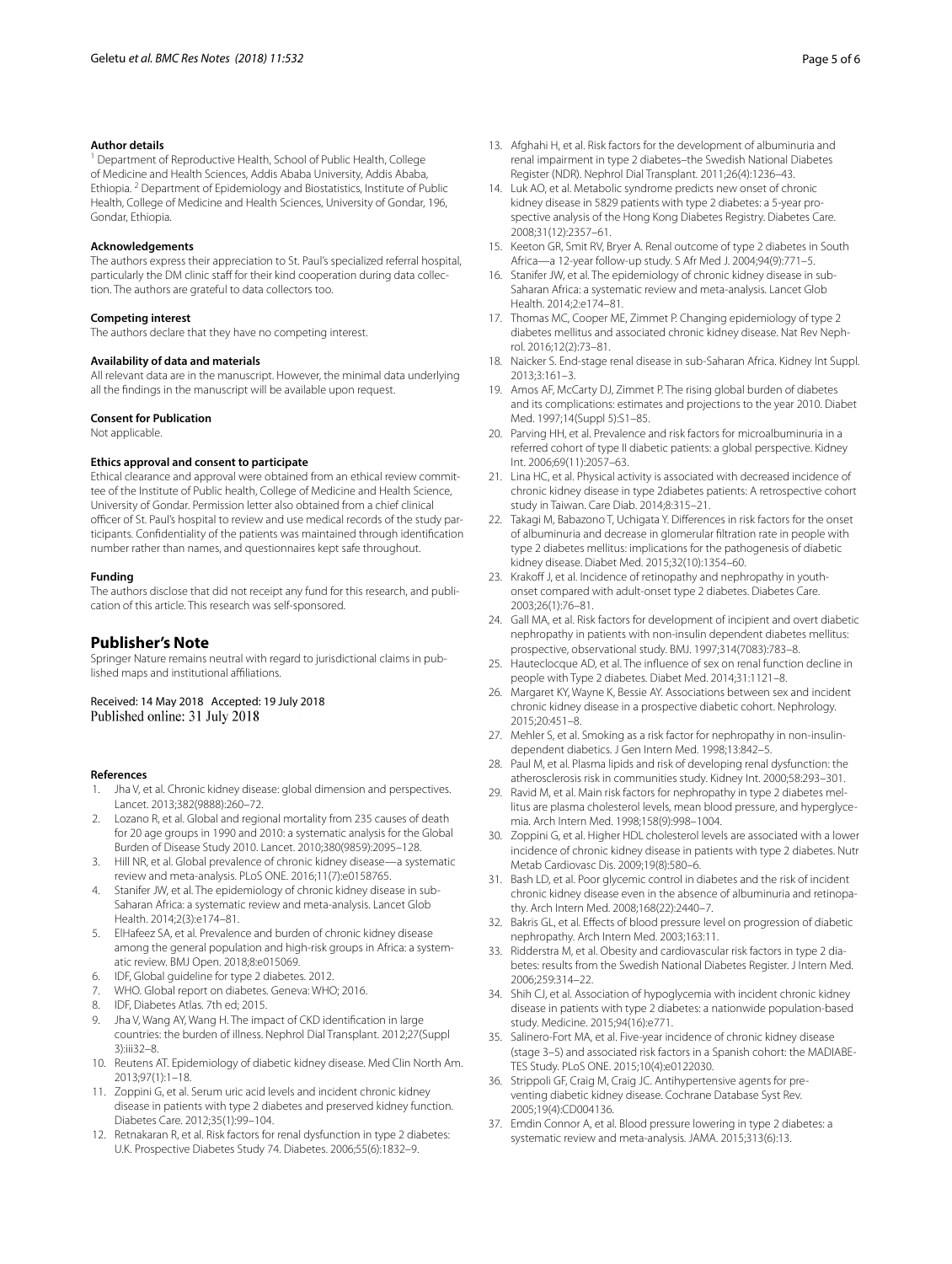#### **Author details**

<sup>1</sup> Department of Reproductive Health, School of Public Health, College of Medicine and Health Sciences, Addis Ababa University, Addis Ababa, Ethiopia. <sup>2</sup> Department of Epidemiology and Biostatistics, Institute of Public Health, College of Medicine and Health Sciences, University of Gondar, 196, Gondar, Ethiopia.

#### **Acknowledgements**

The authors express their appreciation to St. Paul's specialized referral hospital, particularly the DM clinic staff for their kind cooperation during data collection. The authors are grateful to data collectors too.

#### **Competing interest**

The authors declare that they have no competing interest.

#### **Availability of data and materials**

All relevant data are in the manuscript. However, the minimal data underlying all the fndings in the manuscript will be available upon request.

#### **Consent for Publication**

Not applicable.

#### **Ethics approval and consent to participate**

Ethical clearance and approval were obtained from an ethical review committee of the Institute of Public health, College of Medicine and Health Science, University of Gondar. Permission letter also obtained from a chief clinical officer of St. Paul's hospital to review and use medical records of the study participants. Confdentiality of the patients was maintained through identifcation number rather than names, and questionnaires kept safe throughout.

#### **Funding**

The authors disclose that did not receipt any fund for this research, and publication of this article. This research was self-sponsored.

### **Publisher's Note**

Springer Nature remains neutral with regard to jurisdictional claims in published maps and institutional affiliations.

Received: 14 May 2018 Accepted: 19 July 2018<br>Published online: 31 July 2018

#### **References**

- <span id="page-4-0"></span>Jha V, et al. Chronic kidney disease: global dimension and perspectives. Lancet. 2013;382(9888):260–72.
- 2. Lozano R, et al. Global and regional mortality from 235 causes of death for 20 age groups in 1990 and 2010: a systematic analysis for the Global Burden of Disease Study 2010. Lancet. 2010;380(9859):2095–128.
- 3. Hill NR, et al. Global prevalence of chronic kidney disease—a systematic review and meta-analysis. PLoS ONE. 2016;11(7):e0158765.
- 4. Stanifer JW, et al. The epidemiology of chronic kidney disease in sub-Saharan Africa: a systematic review and meta-analysis. Lancet Glob Health. 2014;2(3):e174–81.
- <span id="page-4-1"></span>5. ElHafeez SA, et al. Prevalence and burden of chronic kidney disease among the general population and high-risk groups in Africa: a systematic review. BMJ Open. 2018;8:e015069.
- <span id="page-4-2"></span>6. IDF, Global guideline for type 2 diabetes. 2012.
- WHO. Global report on diabetes. Geneva: WHO; 2016.
- 8. IDF, Diabetes Atlas. 7th ed; 2015.
- 9. Jha V, Wang AY, Wang H. The impact of CKD identifcation in large countries: the burden of illness. Nephrol Dial Transplant. 2012;27(Suppl 3):iii32–8.
- <span id="page-4-3"></span>10. Reutens AT. Epidemiology of diabetic kidney disease. Med Clin North Am. 2013;97(1):1–18.
- <span id="page-4-4"></span>11. Zoppini G, et al. Serum uric acid levels and incident chronic kidney disease in patients with type 2 diabetes and preserved kidney function. Diabetes Care. 2012;35(1):99–104.
- <span id="page-4-16"></span>12. Retnakaran R, et al. Risk factors for renal dysfunction in type 2 diabetes: U.K. Prospective Diabetes Study 74. Diabetes. 2006;55(6):1832–9.
- <span id="page-4-5"></span>13. Afghahi H, et al. Risk factors for the development of albuminuria and renal impairment in type 2 diabetes–the Swedish National Diabetes Register (NDR). Nephrol Dial Transplant. 2011;26(4):1236–43.
- <span id="page-4-6"></span>14. Luk AO, et al. Metabolic syndrome predicts new onset of chronic kidney disease in 5829 patients with type 2 diabetes: a 5-year prospective analysis of the Hong Kong Diabetes Registry. Diabetes Care. 2008;31(12):2357–61.
- <span id="page-4-7"></span>15. Keeton GR, Smit RV, Bryer A. Renal outcome of type 2 diabetes in South Africa—a 12-year follow-up study. S Afr Med J. 2004;94(9):771–5.
- <span id="page-4-8"></span>16. Stanifer JW, et al. The epidemiology of chronic kidney disease in sub-Saharan Africa: a systematic review and meta-analysis. Lancet Glob Health. 2014;2:e174–81.
- <span id="page-4-9"></span>17. Thomas MC, Cooper ME, Zimmet P. Changing epidemiology of type 2 diabetes mellitus and associated chronic kidney disease. Nat Rev Nephrol. 2016;12(2):73–81.
- 18. Naicker S. End-stage renal disease in sub-Saharan Africa. Kidney Int Suppl. 2013;3:161–3.
- 19. Amos AF, McCarty DJ, Zimmet P. The rising global burden of diabetes and its complications: estimates and projections to the year 2010. Diabet Med. 1997;14(Suppl 5):S1–85.
- <span id="page-4-10"></span>20. Parving HH, et al. Prevalence and risk factors for microalbuminuria in a referred cohort of type II diabetic patients: a global perspective. Kidney Int. 2006;69(11):2057–63.
- <span id="page-4-11"></span>21. Lina HC, et al. Physical activity is associated with decreased incidence of chronic kidney disease in type 2diabetes patients: A retrospective cohort study in Taiwan. Care Diab. 2014;8:315–21.
- <span id="page-4-13"></span>22. Takagi M, Babazono T, Uchigata Y, Differences in risk factors for the onset of albuminuria and decrease in glomerular fltration rate in people with type 2 diabetes mellitus: implications for the pathogenesis of diabetic kidney disease. Diabet Med. 2015;32(10):1354–60.
- <span id="page-4-12"></span>23. Krakoff J, et al. Incidence of retinopathy and nephropathy in youthonset compared with adult-onset type 2 diabetes. Diabetes Care. 2003;26(1):76–81.
- <span id="page-4-14"></span>24. Gall MA, et al. Risk factors for development of incipient and overt diabetic nephropathy in patients with non-insulin dependent diabetes mellitus: prospective, observational study. BMJ. 1997;314(7083):783–8.
- 25. Hauteclocque AD, et al. The infuence of sex on renal function decline in people with Type 2 diabetes. Diabet Med. 2014;31:1121–8.
- <span id="page-4-15"></span>26. Margaret KY, Wayne K, Bessie AY. Associations between sex and incident chronic kidney disease in a prospective diabetic cohort. Nephrology. 2015;20:451–8.
- <span id="page-4-17"></span>27. Mehler S, et al. Smoking as a risk factor for nephropathy in non-insulindependent diabetics. J Gen Intern Med. 1998;13:842–5.
- 28. Paul M, et al. Plasma lipids and risk of developing renal dysfunction: the atherosclerosis risk in communities study. Kidney Int. 2000;58:293–301.
- <span id="page-4-19"></span>29. Ravid M, et al. Main risk factors for nephropathy in type 2 diabetes mellitus are plasma cholesterol levels, mean blood pressure, and hyperglycemia. Arch Intern Med. 1998;158(9):998–1004.
- <span id="page-4-26"></span>30. Zoppini G, et al. Higher HDL cholesterol levels are associated with a lower incidence of chronic kidney disease in patients with type 2 diabetes. Nutr Metab Cardiovasc Dis. 2009;19(8):580–6.
- <span id="page-4-18"></span>31. Bash LD, et al. Poor glycemic control in diabetes and the risk of incident chronic kidney disease even in the absence of albuminuria and retinopathy. Arch Intern Med. 2008;168(22):2440–7.
- <span id="page-4-20"></span>32. Bakris GL, et al. Efects of blood pressure level on progression of diabetic nephropathy. Arch Intern Med. 2003;163:11.
- <span id="page-4-21"></span>33. Ridderstra M, et al. Obesity and cardiovascular risk factors in type 2 diabetes: results from the Swedish National Diabetes Register. J Intern Med. 2006;259:314–22.
- <span id="page-4-22"></span>34. Shih CJ, et al. Association of hypoglycemia with incident chronic kidney disease in patients with type 2 diabetes: a nationwide population-based study. Medicine. 2015;94(16):e771.
- <span id="page-4-25"></span>35. Salinero-Fort MA, et al. Five-year incidence of chronic kidney disease (stage 3–5) and associated risk factors in a Spanish cohort: the MADIABE-TES Study. PLoS ONE. 2015;10(4):e0122030.
- <span id="page-4-23"></span>36. Strippoli GF, Craig M, Craig JC. Antihypertensive agents for preventing diabetic kidney disease. Cochrane Database Syst Rev. 2005;19(4):CD004136.
- <span id="page-4-24"></span>37. Emdin Connor A, et al. Blood pressure lowering in type 2 diabetes: a systematic review and meta-analysis. JAMA. 2015;313(6):13.